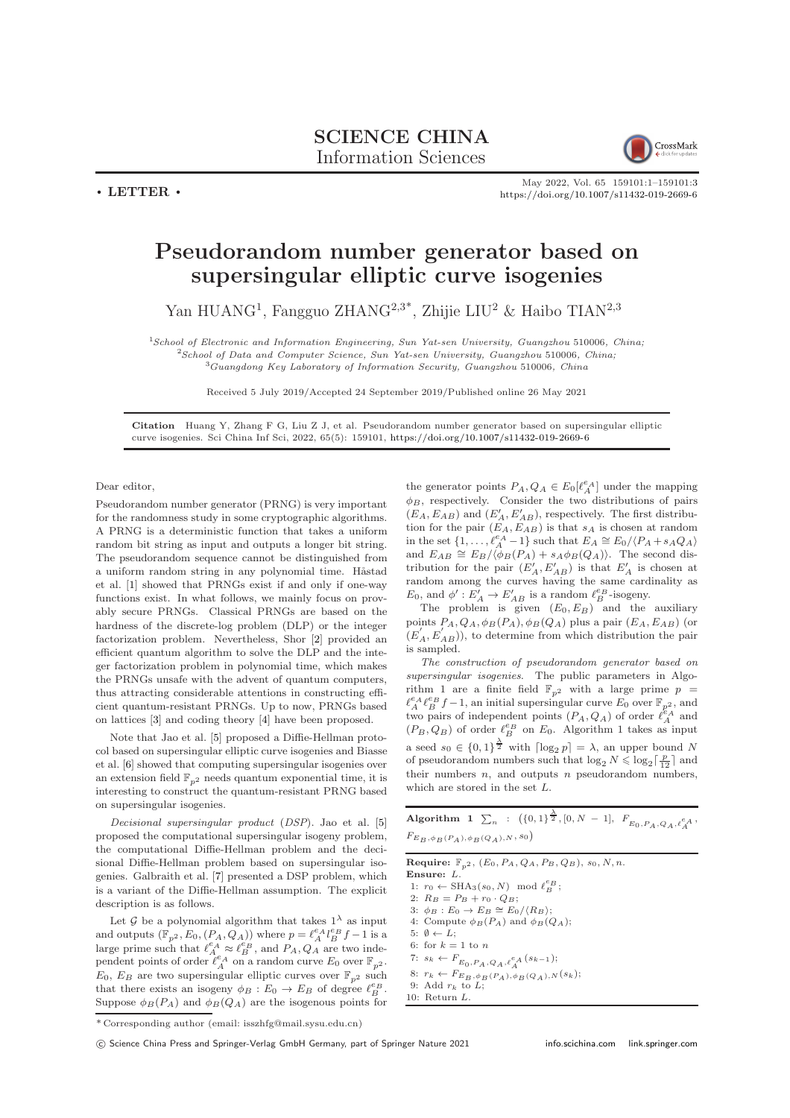## SCIENCE CHINA Information Sciences



 $\cdot$  LETTER  $\cdot$ 

May 2022, Vol. 65 159101:1–159101[:3](#page-2-0) <https://doi.org/10.1007/s11432-019-2669-6>

## Pseudorandom number generator based on supersingular elliptic curve isogenies

Yan HUANG<sup>1</sup>, Fangguo ZHANG<sup>2,3\*</sup>, Zhijie LIU<sup>2</sup> & Haibo TIAN<sup>2,3</sup>

<sup>1</sup>School of Electronic and Information Engineering, Sun Yat-sen University, Guangzhou 510006, China; <sup>2</sup>School of Data and Computer Science, Sun Yat-sen University, Guangzhou 510006, China;  $3Guangdong$  Key Laboratory of Information Security, Guangzhou 510006, China

Received 5 July 2019/Accepted 24 September 2019/Published online 26 May 2021

Citation Huang Y, Zhang F G, Liu Z J, et al. Pseudorandom number generator based on supersingular elliptic curve isogenies. Sci China Inf Sci, 2022, 65(5): 159101, <https://doi.org/10.1007/s11432-019-2669-6>

Dear editor,

Pseudorandom number generator (PRNG) is very important for the randomness study in some cryptographic algorithms. A PRNG is a deterministic function that takes a uniform random bit string as input and outputs a longer bit string. The pseudorandom sequence cannot be distinguished from a uniform random string in any polynomial time. Håstad et al. [\[1\]](#page-2-1) showed that PRNGs exist if and only if one-way functions exist. In what follows, we mainly focus on provably secure PRNGs. Classical PRNGs are based on the hardness of the discrete-log problem (DLP) or the integer factorization problem. Nevertheless, Shor [\[2\]](#page-2-2) provided an efficient quantum algorithm to solve the DLP and the integer factorization problem in polynomial time, which makes the PRNGs unsafe with the advent of quantum computers, thus attracting considerable attentions in constructing efficient quantum-resistant PRNGs. Up to now, PRNGs based on lattices [\[3\]](#page-2-3) and coding theory [\[4\]](#page-2-4) have been proposed.

Note that Jao et al. [\[5\]](#page-2-5) proposed a Diffie-Hellman protocol based on supersingular elliptic curve isogenies and Biasse et al. [\[6\]](#page-2-6) showed that computing supersingular isogenies over an extension field  $\mathbb{F}_{p^2}$  needs quantum exponential time, it is interesting to construct the quantum-resistant PRNG based on supersingular isogenies.

Decisional supersingular product (DSP). Jao et al. [\[5\]](#page-2-5) proposed the computational supersingular isogeny problem, the computational Diffie-Hellman problem and the decisional Diffie-Hellman problem based on supersingular isogenies. Galbraith et al. [\[7\]](#page-2-7) presented a DSP problem, which is a variant of the Diffie-Hellman assumption. The explicit description is as follows.

Let  $\mathcal G$  be a polynomial algorithm that takes  $1^{\lambda}$  as input and outputs  $(\mathbb{F}_{p^2}, E_0, (P_A, Q_A))$  where  $p = \ell_A^{e_A} \ell_B^{e_B} f - 1$  is a large prime such that  $\ell_A^{e_A} \approx \ell_B^{e'_B}$ , and  $P_A, Q_A$  are two independent points of order  $\ell_A^{e_A}$  on a random curve  $E_0$  over  $\mathbb{F}_{p^2}$ .  $E_0, E_B$  are two supersingular elliptic curves over  $\mathbb{F}_{n^2}$  such that there exists an isogeny  $\phi_B : E_0 \to E_B$  of degree  $\ell_B^{\varepsilon_B}$ . Suppose  $\phi_B(P_A)$  and  $\phi_B(Q_A)$  are the isogenous points for

the generator points  $P_A, Q_A \in E_0[\ell_A^{e_A}]$  under the mapping  $\phi_B$ , respectively. Consider the two distributions of pairs  $(E_A, E_{AB})$  and  $(E'_A, E'_{AB})$ , respectively. The first distribution for the pair  $(E_A, E_{AB})$  is that  $s_A$  is chosen at random<br>in the set  $\{1, \ldots, \ell_A^{\rho_A} - 1\}$  such that  $E_A \cong E_0 / \langle P_A + s_A Q_A \rangle$ and  $E_{AB} \cong E_B/\langle \phi_B(P_A) + s_A \phi_B(Q_A) \rangle$ . The second distribution for the pair  $(E'_A, E'_{AB})$  is that  $E'_A$  is chosen at random among the curves having the same cardinality as  $E_0$ , and  $\phi' : E'_A \to E'_{AB}$  is a random  $\ell_B^{e_B}$ -isogeny.

The problem is given  $(E_0, E_B)$  and the auxiliary points  $P_A, Q_A, \phi_B(P_A), \phi_B(Q_A)$  plus a pair  $(E_A, E_{AB})$  (or  $(E'_{A}, E'_{AB})$ , to determine from which distribution the pair is sampled.

The construction of pseudorandom generator based on supersingular isogenies. The public parameters in Algorithm 1 are a finite field  $\mathbb{F}_{p^2}$  with a large prime  $p~=$  $\ell_A^{e_A} \ell_B^{e_B} f - 1$ , an initial supersingular curve  $E_0$  over  $\mathbb{F}_{p^2}$ , and two pairs of independent points  $(P_A, Q_A)$  of order  $\ell_A^{\mathcal{E}_A}$  and  $(P_B, Q_B)$  of order  $\ell_B^{\epsilon_B}$  on  $E_0$ . Algorithm 1 takes as input a seed  $s_0 \in \{0,1\}^{\frac{\lambda}{2}}$  with  $\lceil \log_2 p \rceil = \lambda$ , an upper bound N of pseudorandom numbers such that  $\log_2 N \leqslant \log_2 \lceil \frac{p}{12} \rceil$  and their numbers  $n$ , and outputs  $n$  pseudorandom numbers, which are stored in the set  $L$ .

Algorithm  $1 \sum_n : ({0,1}^{\frac{\lambda}{2}}, [0, N-1], F_{E_0, P_A, Q_A, \ell_A^e, A},$  $F_{E_B, \phi_B(P_A), \phi_B(Q_A), N, s_0}$ 

**Require:**  $\mathbb{F}_{p^2}$ ,  $(E_0, P_A, Q_A, P_B, Q_B)$ ,  $s_0, N, n$ . Ensure: L. 1:  $r_0 \leftarrow \text{SHA}_3(s_0, N) \mod \ell_B^{e_B};$ 2:  $R_B = P_B + r_0 \cdot Q_B;$ 3:  $\phi_B : E_0 \to E_B \cong E_0 / \langle R_B \rangle;$ 4: Compute  $\phi_B(P_A)$  and  $\phi_B(Q_A)$ ; 5:  $\emptyset \leftarrow L$ : 6: for  $k=1$  to  $\boldsymbol{n}$ 7:  $s_k \leftarrow F_{E_0, P_A, Q_A, \ell_A^e A}(s_{k-1});$ 8:  $r_k \leftarrow F_{E_B, \phi_B(P_A), \phi_B(Q_A), N}(s_k);$ <br>9: Add  $r_k$  to L; 10: Return L.

\* Corresponding author (email: isszhfg@mail.sysu.edu.cn)

(C) Science China Press and Springer-Verlag GmbH Germany, part of Springer Nature 2021 <info.scichina.com><link.springer.com>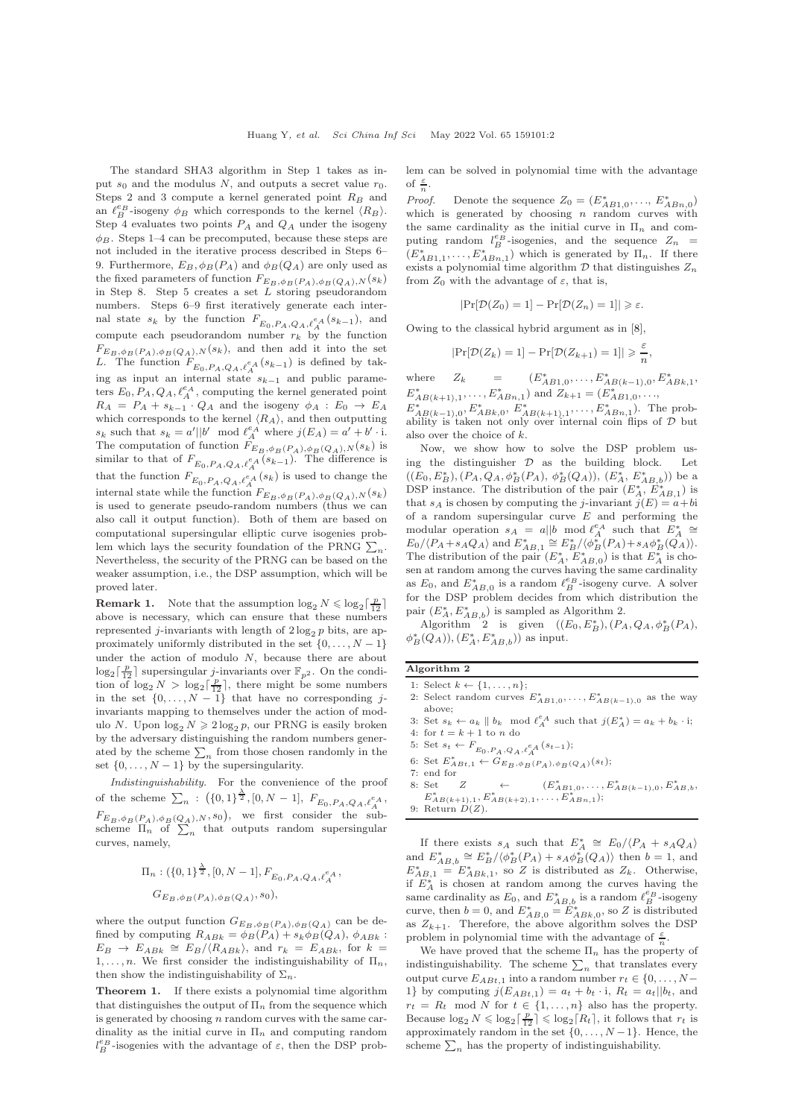The standard SHA3 algorithm in Step 1 takes as input  $s_0$  and the modulus N, and outputs a secret value  $r_0$ . Steps 2 and 3 compute a kernel generated point  $R_B$  and an  $\ell_B^{e_B}$ -isogeny  $\phi_B$  which corresponds to the kernel  $\langle R_B \rangle$ . Step 4 evaluates two points  $P_A$  and  $Q_A$  under the isogeny  $\phi_B$ . Steps 1–4 can be precomputed, because these steps are not included in the iterative process described in Steps 6– 9. Furthermore,  $E_B$ ,  $\phi_B(P_A)$  and  $\phi_B(Q_A)$  are only used as the fixed parameters of function  $F_{\underline{E}_B, \phi_B(P_A), \phi_B(Q_A), N}(s_k)$ in Step 8. Step 5 creates a set  $L$  storing pseudorandom numbers. Steps 6–9 first iteratively generate each internal state  $s_k$  by the function  $F_{E_0, P_A, Q_A, \ell_A^{\varepsilon_A}(s_{k-1})}$ , and compute each pseudorandom number  $r_k$  by the function  $F_{E_B,\phi_B(P_A),\phi_B(Q_A),N}(s_k)$ , and then add it into the set L. The function  $F_{E_0, P_A, Q_A, \ell_A^e}$  ( $s_{k-1}$ ) is defined by taking as input an internal state  $s_{k-1}$  and public parameters  $E_0$ ,  $P_A$ ,  $Q_A$ ,  $\ell_A^{e_A}$ , computing the kernel generated point  $R_A = P_A + s_{k-1}$  ·  $Q_A$  and the isogeny  $\phi_A : E_0 \rightarrow E_A$ which corresponds to the kernel  $\langle R_A \rangle$ , and then outputting  $s_k$  such that  $s_k = a' || b' \mod \ell_A^{\epsilon_A}$  where  $j(E_A) = a' + b' \cdot i$ . The computation of function  $F_{E_B,\phi_B(P_A),\phi_B(Q_A),N}(s_k)$  is similar to that of  $F_{E_0, P_A, Q_A, \ell_A^e}$  ( $s_{k-1}$ ). The difference is that the function  $F_{E_0, P_A, Q_A, \ell_A^{e_A}}(s_k)$  is used to change the internal state while the function  $F_{E_B, \phi_B(P_A), \phi_B(Q_A), N}(s_k)$ is used to generate pseudo-random numbers (thus we can also call it output function). Both of them are based on computational supersingular elliptic curve isogenies problem which lays the security foundation of the PRNG  $\sum_n$ . Nevertheless, the security of the PRNG can be based on the weaker assumption, i.e., the DSP assumption, which will be proved later.

**Remark 1.** Note that the assumption  $\log_2 N \leq \log_2 \lceil \frac{p}{12} \rceil$ above is necessary, which can ensure that these numbers represented j-invariants with length of  $2 \log_2 p$  bits, are approximately uniformly distributed in the set  $\{0, \ldots, N-1\}$ under the action of modulo N, because there are about  $\log_2\left[\frac{p}{12}\right]$  supersingular *j*-invariants over  $\mathbb{F}_{p^2}$ . On the condition of  $\log_2 N > \log_2 \left\lceil \frac{p}{2} \right\rceil$ , there might be some numbers<br>in the set  $\{0, \ldots, N-1\}$  that have no corresponding jinvariants mapping to themselves under the action of modulo N. Upon  $\log_2 N \geq 2 \log_2 p$ , our PRNG is easily broken by the adversary distinguishing the random numbers generated by the scheme  $\sum_n$  from those chosen randomly in the set  $\{0, \ldots, N-1\}$  by the supersingularity.

Indistinguishability. For the convenience of the proof of the scheme  $\sum_n$  :  $(\{0,1\}^{\frac{\lambda}{2}}, [0, N-1], F_{E_0, P_A, Q_A, \ell_A^{\ell_A}},$  $F_{E_B, \phi_B(P_A), \phi_B(Q_A), N},$  we first consider the subscheme  $\Pi_n$  of  $\sum_n$  that outputs random supersingular curves, namely,

$$
\Pi_n: (\{0,1\}^{\frac{\lambda}{2}}, [0, N-1], F_{E_0, P_A, Q_A, \ell_A^{\varepsilon_A}},
$$
  

$$
G_{E_B, \phi_B(P_A), \phi_B(Q_A), s_0),
$$

where the output function  $G_{E_B,\phi_B(P_A),\phi_B(Q_A)}$  can be defined by computing  $R_{ABk} = \phi_B(P_A) + s_k \phi_B(Q_A)$ ,  $\phi_{ABk}$ :  $E_B \rightarrow E_{ABk} \cong E_B/\langle R_{ABk} \rangle$ , and  $r_k = E_{ABk}$ , for  $k =$ 1, ..., *n*. We first consider the indistinguishability of  $\Pi_n$ , then show the indistinguishability of  $\Sigma_n$ .

Theorem 1. If there exists a polynomial time algorithm that distinguishes the output of  $\Pi_n$  from the sequence which is generated by choosing  $n$  random curves with the same cardinality as the initial curve in  $\Pi_n$  and computing random  $l_B^{e_B}$  -isogenies with the advantage of  $\varepsilon,$  then the DSP problem can be solved in polynomial time with the advantage of  $\frac{\varepsilon}{n}$ .

*Proof.* Denote the sequence  $Z_0 = (E_{AB1,0}^*, \ldots, E_{ABn,0}^*)$ which is generated by choosing  $n$  random curves with the same cardinality as the initial curve in  $\Pi_n$  and computing random  $l_B^{e_B}$ -isogenies, and the sequence  $Z_n$  =  $(E_{AB1,1}^*, \ldots, E_{ABn,1}^*)$  which is generated by  $\Pi_n$ . If there exists a polynomial time algorithm  $D$  that distinguishes  $Z_n$ from  $Z_0$  with the advantage of  $\varepsilon$ , that is,

$$
|\Pr[\mathcal{D}(Z_0) = 1] - \Pr[\mathcal{D}(Z_n) = 1]| \geq \varepsilon.
$$

Owing to the classical hybrid argument as in [\[8\]](#page-2-8),

$$
|\Pr[\mathcal{D}(Z_k) = 1] - \Pr[\mathcal{D}(Z_{k+1}) = 1]| \ge \frac{\varepsilon}{n},
$$

where  $Z_k = (E_{AB1,0}^*, \ldots, E_{AB(k-1),0}^*, E_{ABk,1}^*,$  $E_{AB(k+1),1}^*$ , ...,  $E_{ABn,1}^*$  and  $Z_{k+1} = (E_{AB1,0}^*$ , ...,  $E_{AB(k-1),0}^*$ ,  $E_{ABk,0}^*$ ,  $E_{AB(k+1),1}^*$ , ...,  $E_{ABn,1}^*$ ). The probability is taken not only over internal coin flips of  $D$  but also over the choice of k.

Now, we show how to solve the DSP problem using the distinguisher  $D$  as the building block. Let  $((E_0, E_B^*), (P_A, Q_A, \phi_B^*(P_A), \phi_B^*(Q_A)), (E_A^*, E_{AB,b}^*))$  be a DSP instance. The distribution of the pair  $(E_A^*, E_{AB,1}^*)$  is that  $s_A$  is chosen by computing the *j*-invariant  $j(E) = a + bi$ of a random supersingular curve  $E$  and performing the modular operation  $s_A = a||b \mod \ell_A^{e_A}$  such that  $E_A^* \cong$  $E_0 / \langle P_A + s_A Q_A \rangle$  and  $E_{AB,1}^* \cong E_B^* / \langle \phi_B^* (P_A) + s_A \phi_B^* (\hat{Q}_A) \rangle$ .<br>The distribution of the pair  $(E_A^*, E_{AB,0}^*)$  is that  $E_A^*$  is chosen at random among the curves having the same cardinality as  $E_0$ , and  $E_{AB,0}^*$  is a random  $\ell_B^{e_B}$ -isogeny curve. A solver for the DSP problem decides from which distribution the pair  $(E_A^*, E_{AB,b}^*)$  is sampled as Algorithm 2.

Algorithm 2 is given  $((E_0, E_B^*), (P_A, Q_A, \phi_B^*(P_A)),$  $\phi^*_{B}(Q_A)), (E^*_{A}, E^*_{AB,b})$  as input.

Algorithm 2

- 1: Select  $k \leftarrow \{1, \ldots, n\};$
- 2: Select random curves  $E_{AB1,0}^*$ , ...,  $E_{AB(k-1),0}^*$  as the way above;
- 3: Set  $s_k \leftarrow a_k \parallel b_k \mod \ell_A^{e_A}$  such that  $j(E_A^*) = a_k + b_k \cdot i$ ;<br>4: for  $t = k + 1$  to n do
- 
- 5: Set  $s_t \leftarrow F_{E_0, P_A, Q_A, \ell_A^e} (s_{t-1});$
- 6: Set  $E_{ABt,1}^* \leftarrow G_{E_B,\phi_B(P_A),\phi_B(Q_A)}^{(0,1)}(s_t);$
- 7: end for
- 8: Set  $Z \leftarrow (E_{AB1,0}^*, \ldots, E_{AB(k-1),0}^*, E_{AB,b}^*,$ <br>  $E_{AB(k+1),1}^*, E_{AB(k+2),1}^*, \ldots, E_{AB,n,1}^*);$ 9: Return  $D(Z)$ .

If there exists  $s_A$  such that  $E_A^* \cong E_0 / \langle P_A + s_A Q_A \rangle$ and  $E_{AB,b}^* \cong E_B^*/\langle \phi_B^*(P_A) + s_A \phi_B^*(Q_A) \rangle$  then  $b = 1$ , and  $E_{AB,1}^* = E_{ABk,1}^*$ , so Z is distributed as  $Z_k$ . Otherwise, if  $E_A^*$  is chosen at random among the curves having the same cardinality as  $E_0$ , and  $E_{AB,b}^*$  is a random  $\ell_B^{e_B}$ -isogeny curve, then  $b = 0$ , and  $E_{AB,0}^* = E_{ABk,0}^*$ , so Z is distributed as  $Z_{k+1}$ . Therefore, the above algorithm solves the DSP problem in polynomial time with the advantage of  $\frac{\varepsilon}{n}$ .

We have proved that the scheme  $\Pi_n$  has the property of indistinguishability. The scheme  $\sum_n$  that translates every output curve  $E_{ABt,1}$  into a random number  $r_t \in \{0, \ldots, N-1\}$ 1} by computing  $j(E_{ABt,1}) = a_t + b_t \cdot i$ ,  $R_t = a_t || b_t$ , and  $r_t = R_t \mod N$  for  $t \in \{1, ..., n\}$  also has the property. Because  $\log_2 N \leq \log_2 \lceil \frac{p}{12} \rceil \leq \log_2 \lceil R_t \rceil$ , it follows that  $r_t$  is approximately random in the set  $\{0, \ldots, N-1\}$ . Hence, the scheme  $\sum_n$  has the property of indistinguishability.